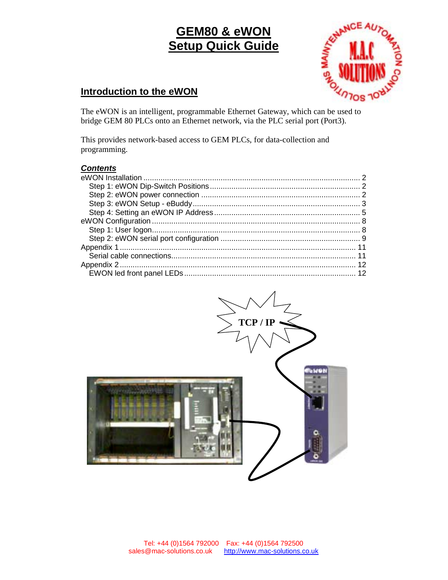

### **Introduction to the eWON**

The eWON is an intelligent, programmable Ethernet Gateway, which can be used to bridge GEM 80 PLCs onto an Ethernet network, via the PLC serial port (Port3).

This provides network-based access to GEM PLCs, for data-collection and programming.

### *Contents*

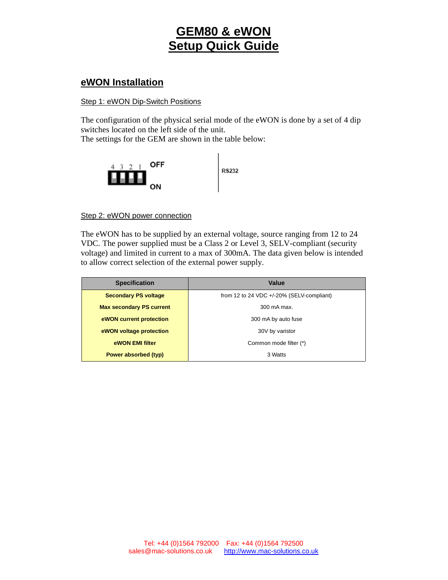### **eWON Installation**

### Step 1: eWON Dip-Switch Positions

The configuration of the physical serial mode of the eWON is done by a set of 4 dip switches located on the left side of the unit.

The settings for the GEM are shown in the table below:



### Step 2: eWON power connection

The eWON has to be supplied by an external voltage, source ranging from 12 to 24 VDC. The power supplied must be a Class 2 or Level 3, SELV-compliant (security voltage) and limited in current to a max of 300mA. The data given below is intended to allow correct selection of the external power supply.

| <b>Specification</b>            | Value                                        |
|---------------------------------|----------------------------------------------|
| <b>Secondary PS voltage</b>     | from 12 to 24 VDC $+/-20\%$ (SELV-compliant) |
| <b>Max secondary PS current</b> | 300 mA max.                                  |
| eWON current protection         | 300 mA by auto fuse                          |
| eWON voltage protection         | 30V by varistor                              |
| eWON EMI filter                 | Common mode filter (*)                       |
| Power absorbed (typ)            | 3 Watts                                      |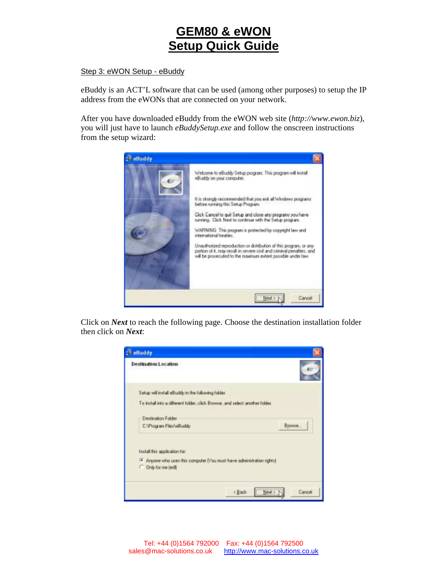### Step 3: eWON Setup - eBuddy

eBuddy is an ACT'L software that can be used (among other purposes) to setup the IP address from the eWONs that are connected on your network.

After you have downloaded eBuddy from the eWON web site (*http://www.ewon.biz*), you will just have to launch *eBuddySetup.exe* and follow the onscreen instructions from the setup wizard:



Click on *Next* to reach the following page. Choose the destination installation folder then click on *Next*:

| <b>E</b> eBuddy                                                                                                                |
|--------------------------------------------------------------------------------------------------------------------------------|
| <b>Destination Location</b>                                                                                                    |
| Setup will install eBuddy in the following folder.                                                                             |
| I'm rutal ruto a different tobbe, click Browns, and select another tobbe.                                                      |
| Destination Folder                                                                                                             |
| Вложие<br>C:VProgram FilesVeBuddy                                                                                              |
| Install this application for:<br>F Anyone who uses this computer (You nust have administration rights)<br>C Drily for me (edi) |
| Next ><br>Cancel<br>< Back                                                                                                     |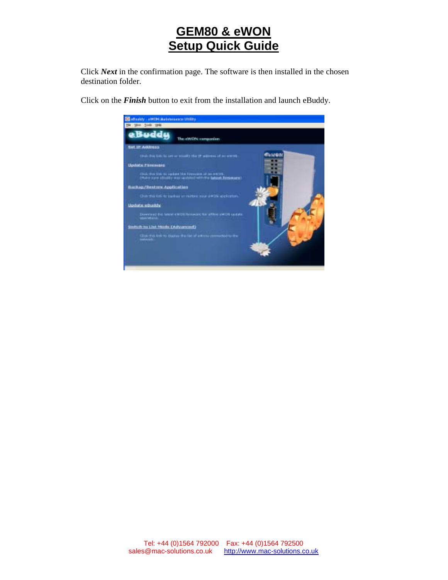Click *Next* in the confirmation page. The software is then installed in the chosen destination folder.

Click on the *Finish* button to exit from the installation and launch eBuddy.

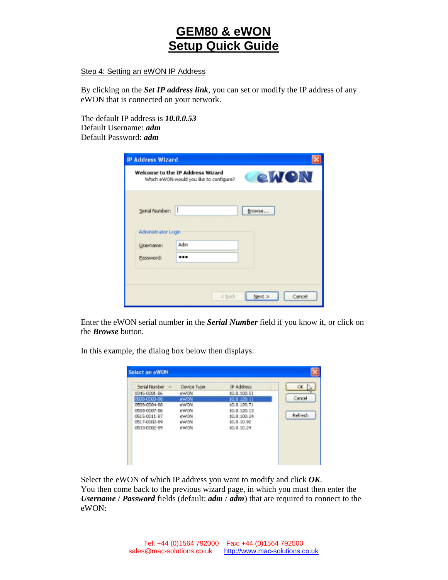Step 4: Setting an eWON IP Address

By clicking on the *Set IP address link*, you can set or modify the IP address of any eWON that is connected on your network.

The default IP address is *10.0.0.53*  Default Username: *adm* Default Password: *adm*

| <b>IP Address Wizard</b>                      |                                                                             |                  |
|-----------------------------------------------|-----------------------------------------------------------------------------|------------------|
|                                               | Welcome to the IP Address Wizard<br>Which eWON would you like to configure? | eWON             |
| Serial Number:                                |                                                                             | Browse           |
| Administrator Login<br>Username:<br>Password: | Adm<br>                                                                     |                  |
|                                               | <back< td=""><td>Next &gt;<br/>Cancel</td></back<>                          | Next ><br>Cancel |

Enter the eWON serial number in the *Serial Number* field if you know it, or click on the *Browse* button.

In this example, the dialog box below then displays:

| 10.0.100.51<br>0345-0001-86<br>enerona<br>ew0N<br>4900-0003-00<br>10.0.120.11<br>ewon<br>10.0.120.71<br>0505-0004-88 | Cancel  |
|----------------------------------------------------------------------------------------------------------------------|---------|
|                                                                                                                      |         |
|                                                                                                                      |         |
|                                                                                                                      |         |
| ewon<br>0508-0007-86<br>10.0.120.13                                                                                  |         |
| ciwCris<br>0515-0011-87<br>10.0.100.24                                                                               | Refresh |
| 0517-0002-09<br>10.0.10.92<br><b>MAYON</b>                                                                           |         |
| 10.0.10.24<br>ewon<br>0533-0002-89                                                                                   |         |

Select the eWON of which IP address you want to modify and click *OK*. You then come back to the previous wizard page, in which you must then enter the *Username* / *Password* fields (default: *adm* / *adm*) that are required to connect to the eWON: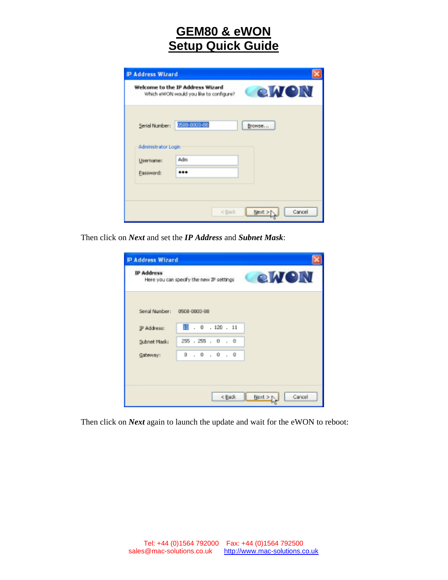| <b>IP Address Wizard</b> |                                                                             |              |
|--------------------------|-----------------------------------------------------------------------------|--------------|
|                          | Welcome to the IP Address Wizard<br>Which eWON would you like to configure? | <b>eiven</b> |
|                          | Seriel Number: (508-0003-88)                                                | Browse       |
| Administrator Login      |                                                                             |              |
| Username:                | Adm                                                                         |              |
| Password:                |                                                                             |              |

Then click on *Next* and set the *IP Address* and *Subnet Mask*:

| <b>IP Address</b>           | CeWON<br>Here you can specify the new IP settings |  |
|-----------------------------|---------------------------------------------------|--|
| Serial Number: 0508-0003-88 |                                                   |  |
| IP Address:                 | $\overline{10}$ . 0 . 120 . 11                    |  |
| Subnet Mask:                | 255 . 255 . 0 . 0                                 |  |
| Gateway:                    | 0.0.0.0.0                                         |  |
|                             |                                                   |  |
|                             |                                                   |  |

Then click on *Next* again to launch the update and wait for the eWON to reboot: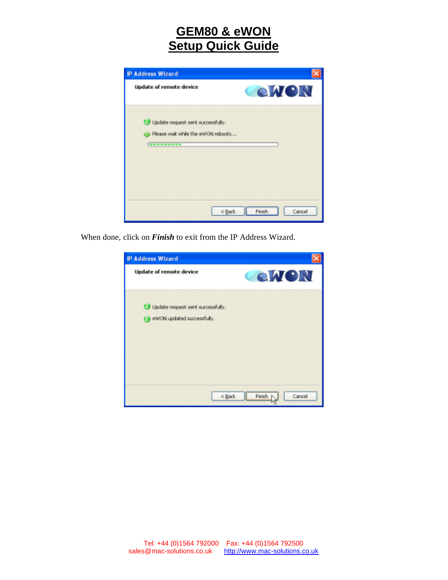

When done, click on *Finish* to exit from the IP Address Wizard.

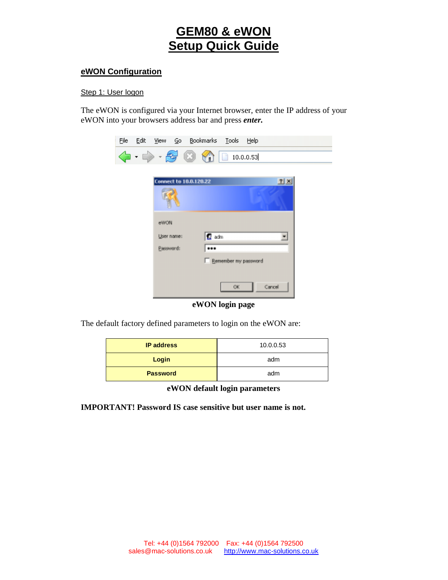### **eWON Configuration**

### Step 1: User logon

The eWON is configured via your Internet browser, enter the IP address of your eWON into your browsers address bar and press *enter.*



### **eWON login page**

The default factory defined parameters to login on the eWON are:

| <b>IP address</b> | 10.0.0.53 |
|-------------------|-----------|
| Login             | adm       |
| <b>Password</b>   | adm       |

**eWON default login parameters** 

**IMPORTANT! Password IS case sensitive but user name is not.**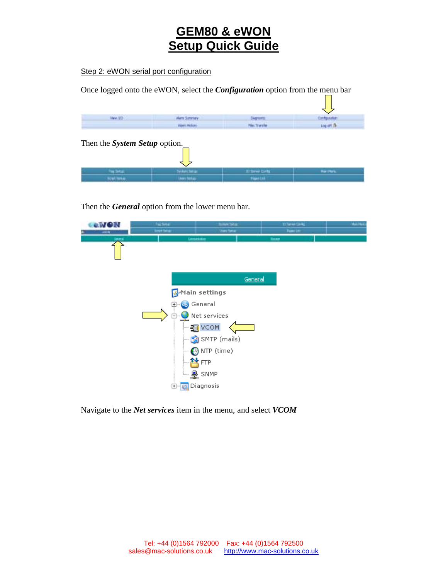Step 2: eWON serial port configuration

Once logged onto the eWON, select the *Configuration* option from the menu bar

 $\mathcal{L}^{\text{max}}$ 

| Steve (80)                    | Mars Summer     | Diephorts:         | Configuration:    |
|-------------------------------|-----------------|--------------------|-------------------|
|                               | Aires Holum     | <b>His friends</b> | Log art dir       |
| Then the System Setup option. |                 |                    |                   |
|                               |                 |                    |                   |
| Tay Setup                     | Technic Service | Il termi Carta     | <b>Hart Herts</b> |

Then the *General* option from the lower menu bar.



Navigate to the *Net services* item in the menu, and select *VCOM*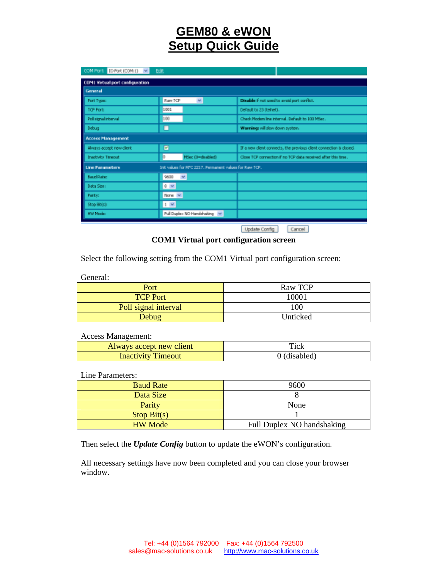| COM Part: DO Part (COM) 13 W                                                      | Edit                         |                                                                  |
|-----------------------------------------------------------------------------------|------------------------------|------------------------------------------------------------------|
| CDM1 Virtual port configuration                                                   |                              |                                                                  |
| General                                                                           |                              |                                                                  |
| Port Type:                                                                        | $\mathbf{v}$<br>Raw TCP      | Disable if not used to avoid port conflict.                      |
| TOP Port:                                                                         | 100L                         | Default to 23 (telnet).                                          |
| Poll signal interval                                                              | 100                          | Check Modern Ine interval. Default to 100 MSec.                  |
| Debug                                                                             | □                            | Warning: will slow down system.                                  |
| Access Management                                                                 |                              |                                                                  |
| Always accept new client                                                          | ø                            | If a new dent connects, the previous client connection is dosed. |
| <b>Inadbiby Timeout</b>                                                           | o<br>MSec (D=chabled)        | Close TCP connection if no TCP data repeived after this time.    |
| Init values for RPC 2217. Permanent values for Raw TCP.<br><b>Line Parameters</b> |                              |                                                                  |
| <b>Baud Rate:</b>                                                                 | $\mathbf{w}$<br>9600         |                                                                  |
| Data Sizer                                                                        | $8 -$                        |                                                                  |
| Parity:                                                                           | None V                       |                                                                  |
| Stop Bit(s):                                                                      | $1 - 4$                      |                                                                  |
| <b>HW Mode:</b>                                                                   | Pull Duplex NO Handshaking V |                                                                  |

Update Config | Cancel

### **COM1 Virtual port configuration screen**

Select the following setting from the COM1 Virtual port configuration screen:

General:

| Port                 | Raw TCP  |
|----------------------|----------|
| <b>TCP Port</b>      | 10001    |
| Poll signal interval | 100      |
| Debug                | Unticked |

### Access Management:

| Always accept new client  | Tick         |
|---------------------------|--------------|
| <b>Inactivity Timeout</b> | 0 (disabled) |

#### Line Parameters:

| <b>Baud Rate</b> | 9600                       |
|------------------|----------------------------|
| Data Size        |                            |
| Parity           | None                       |
| Stop Bit(s)      |                            |
| <b>HW</b> Mode   | Full Duplex NO handshaking |

Then select the *Update Config* button to update the eWON's configuration.

All necessary settings have now been completed and you can close your browser window.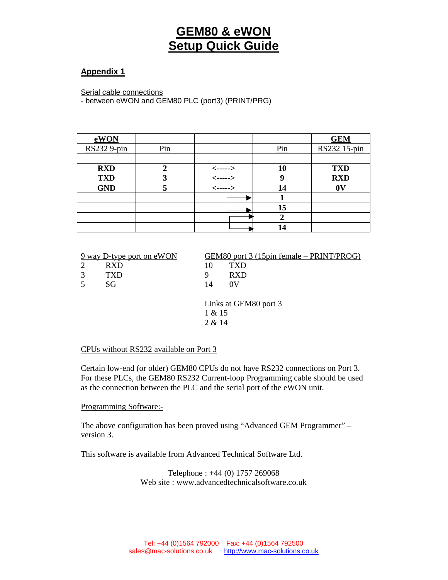### **Appendix 1**

Serial cable connections

- between eWON and GEM80 PLC (port3) (PRINT/PRG)

| eWON               |                               |              |                                 | <b>GEM</b>     |
|--------------------|-------------------------------|--------------|---------------------------------|----------------|
| <b>RS232 9-pin</b> | $\frac{\text{Pin}}{\text{L}}$ |              | $\frac{\text{Pin}}{\text{Den}}$ | RS232 15-pin   |
|                    |                               |              |                                 |                |
| <b>RXD</b>         |                               | $\leftarrow$ | 10                              | <b>TXD</b>     |
| <b>TXD</b>         |                               | <----->      | ų                               | <b>RXD</b>     |
| <b>GND</b>         |                               | $\leftarrow$ | 14                              | 0 <sup>V</sup> |
|                    |                               |              |                                 |                |
|                    |                               |              | 15                              |                |
|                    |                               |              | 2                               |                |
|                    |                               |              | 14                              |                |

|                | 9 way D-type port on eWON |                                           | GEM80 port 3 (15pin female – PRINT/PROG) |  |
|----------------|---------------------------|-------------------------------------------|------------------------------------------|--|
| 2              | <b>RXD</b>                | 10                                        | TXD                                      |  |
| 3              | TXD                       | 9                                         | <b>RXD</b>                               |  |
| $\overline{5}$ | SG                        | 14                                        | 0V                                       |  |
|                |                           | Links at GEM80 port 3<br>1 & 15<br>2 & 14 |                                          |  |

### CPUs without RS232 available on Port 3

Certain low-end (or older) GEM80 CPUs do not have RS232 connections on Port 3. For these PLCs, the GEM80 RS232 Current-loop Programming cable should be used as the connection between the PLC and the serial port of the eWON unit.

Programming Software:-

The above configuration has been proved using "Advanced GEM Programmer" – version 3.

This software is available from Advanced Technical Software Ltd.

Telephone : +44 (0) 1757 269068 Web site : www.advancedtechnicalsoftware.co.uk